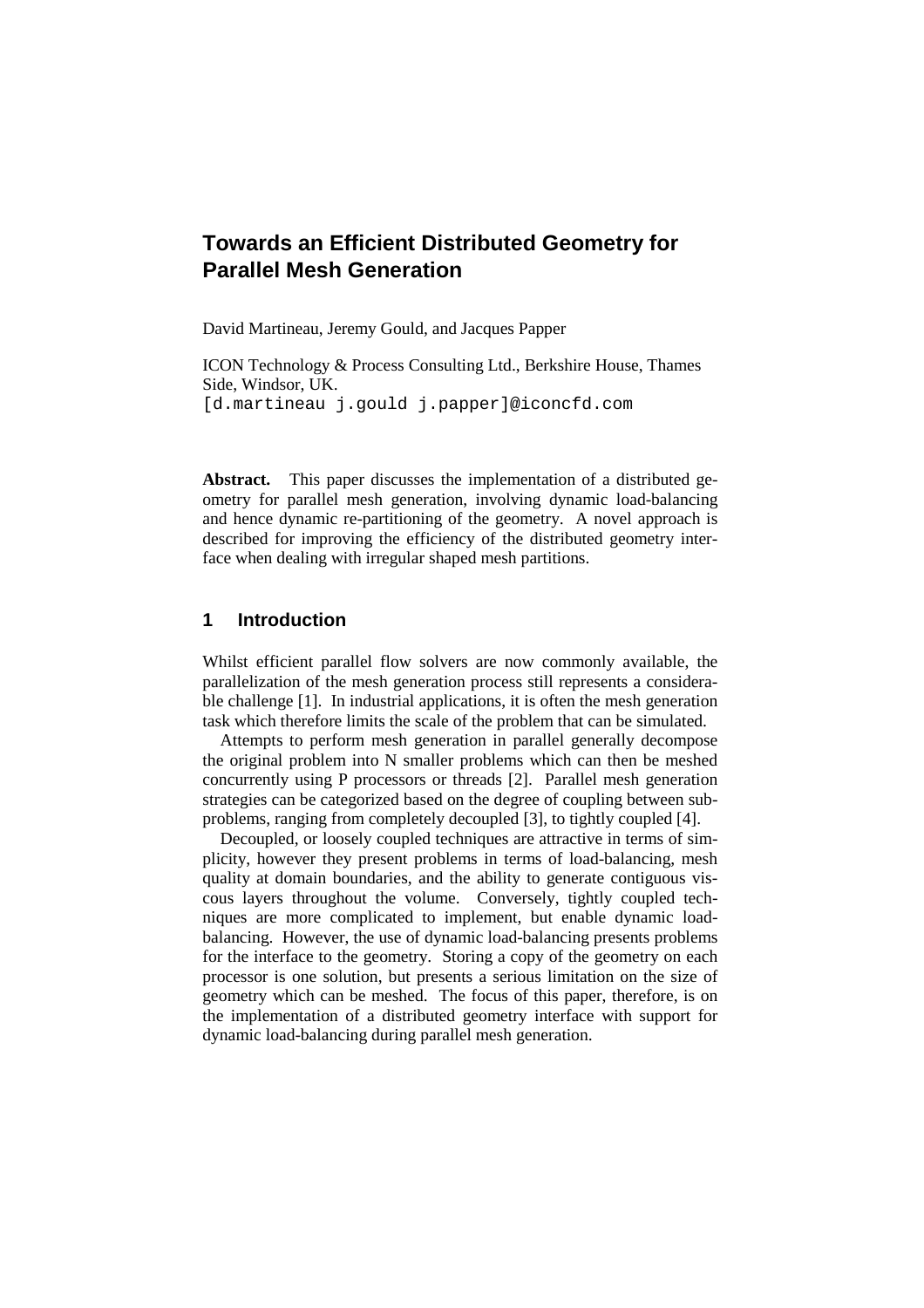# **Towards an Efficient Distributed Geometry for Parallel Mesh Generation**

David Martineau, Jeremy Gould, and Jacques Papper

ICON Technology & Process Consulting Ltd., Berkshire House, Thames Side, Windsor, UK. [d.martineau j.gould j.papper]@iconcfd.com

**Abstract.** This paper discusses the implementation of a distributed geometry for parallel mesh generation, involving dynamic load-balancing and hence dynamic re-partitioning of the geometry. A novel approach is described for improving the efficiency of the distributed geometry interface when dealing with irregular shaped mesh partitions.

### **1 Introduction**

Whilst efficient parallel flow solvers are now commonly available, the parallelization of the mesh generation process still represents a considerable challenge [1]. In industrial applications, it is often the mesh generation task which therefore limits the scale of the problem that can be simulated.

Attempts to perform mesh generation in parallel generally decompose the original problem into N smaller problems which can then be meshed concurrently using P processors or threads [2]. Parallel mesh generation strategies can be categorized based on the degree of coupling between subproblems, ranging from completely decoupled [3], to tightly coupled [4].

Decoupled, or loosely coupled techniques are attractive in terms of simplicity, however they present problems in terms of load-balancing, mesh quality at domain boundaries, and the ability to generate contiguous viscous layers throughout the volume. Conversely, tightly coupled techniques are more complicated to implement, but enable dynamic loadbalancing. However, the use of dynamic load-balancing presents problems for the interface to the geometry. Storing a copy of the geometry on each processor is one solution, but presents a serious limitation on the size of geometry which can be meshed. The focus of this paper, therefore, is on the implementation of a distributed geometry interface with support for dynamic load-balancing during parallel mesh generation.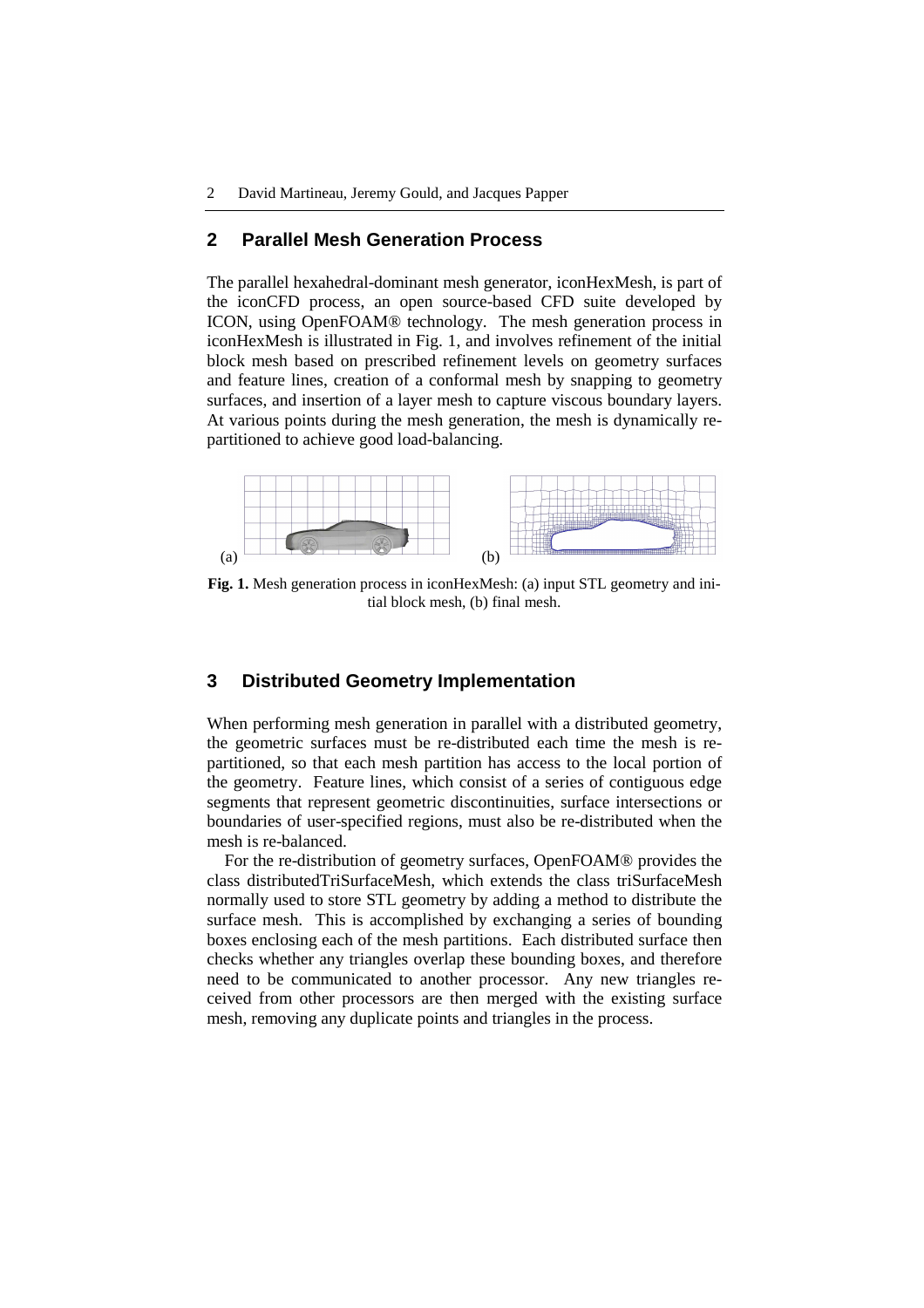#### **2 Parallel Mesh Generation Process**

The parallel hexahedral-dominant mesh generator, iconHexMesh, is part of the iconCFD process, an open source-based CFD suite developed by ICON, using OpenFOAM® technology. The mesh generation process in iconHexMesh is illustrated in Fig. 1, and involves refinement of the initial block mesh based on prescribed refinement levels on geometry surfaces and feature lines, creation of a conformal mesh by snapping to geometry surfaces, and insertion of a layer mesh to capture viscous boundary layers. At various points during the mesh generation, the mesh is dynamically repartitioned to achieve good load-balancing.



**Fig. 1.** Mesh generation process in iconHexMesh: (a) input STL geometry and initial block mesh, (b) final mesh.

#### **3 Distributed Geometry Implementation**

When performing mesh generation in parallel with a distributed geometry, the geometric surfaces must be re-distributed each time the mesh is repartitioned, so that each mesh partition has access to the local portion of the geometry. Feature lines, which consist of a series of contiguous edge segments that represent geometric discontinuities, surface intersections or boundaries of user-specified regions, must also be re-distributed when the mesh is re-balanced.

For the re-distribution of geometry surfaces, OpenFOAM® provides the class distributedTriSurfaceMesh, which extends the class triSurfaceMesh normally used to store STL geometry by adding a method to distribute the surface mesh. This is accomplished by exchanging a series of bounding boxes enclosing each of the mesh partitions. Each distributed surface then checks whether any triangles overlap these bounding boxes, and therefore need to be communicated to another processor. Any new triangles received from other processors are then merged with the existing surface mesh, removing any duplicate points and triangles in the process.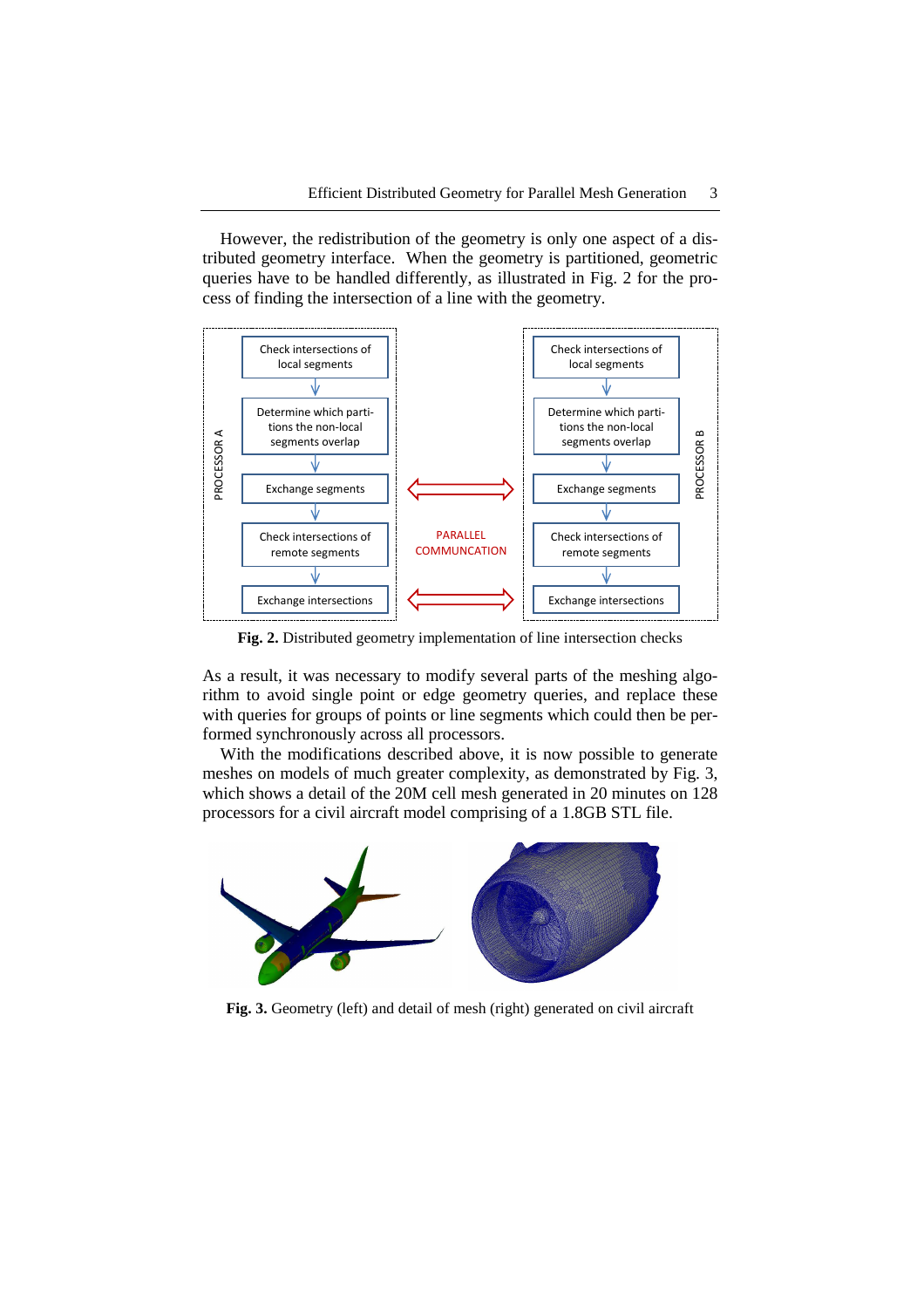However, the redistribution of the geometry is only one aspect of a distributed geometry interface. When the geometry is partitioned, geometric queries have to be handled differently, as illustrated in Fig. 2 for the process of finding the intersection of a line with the geometry.



**Fig. 2.** Distributed geometry implementation of line intersection checks

As a result, it was necessary to modify several parts of the meshing algorithm to avoid single point or edge geometry queries, and replace these with queries for groups of points or line segments which could then be performed synchronously across all processors.

With the modifications described above, it is now possible to generate meshes on models of much greater complexity, as demonstrated by Fig. 3, which shows a detail of the 20M cell mesh generated in 20 minutes on 128 processors for a civil aircraft model comprising of a 1.8GB STL file.



**Fig. 3.** Geometry (left) and detail of mesh (right) generated on civil aircraft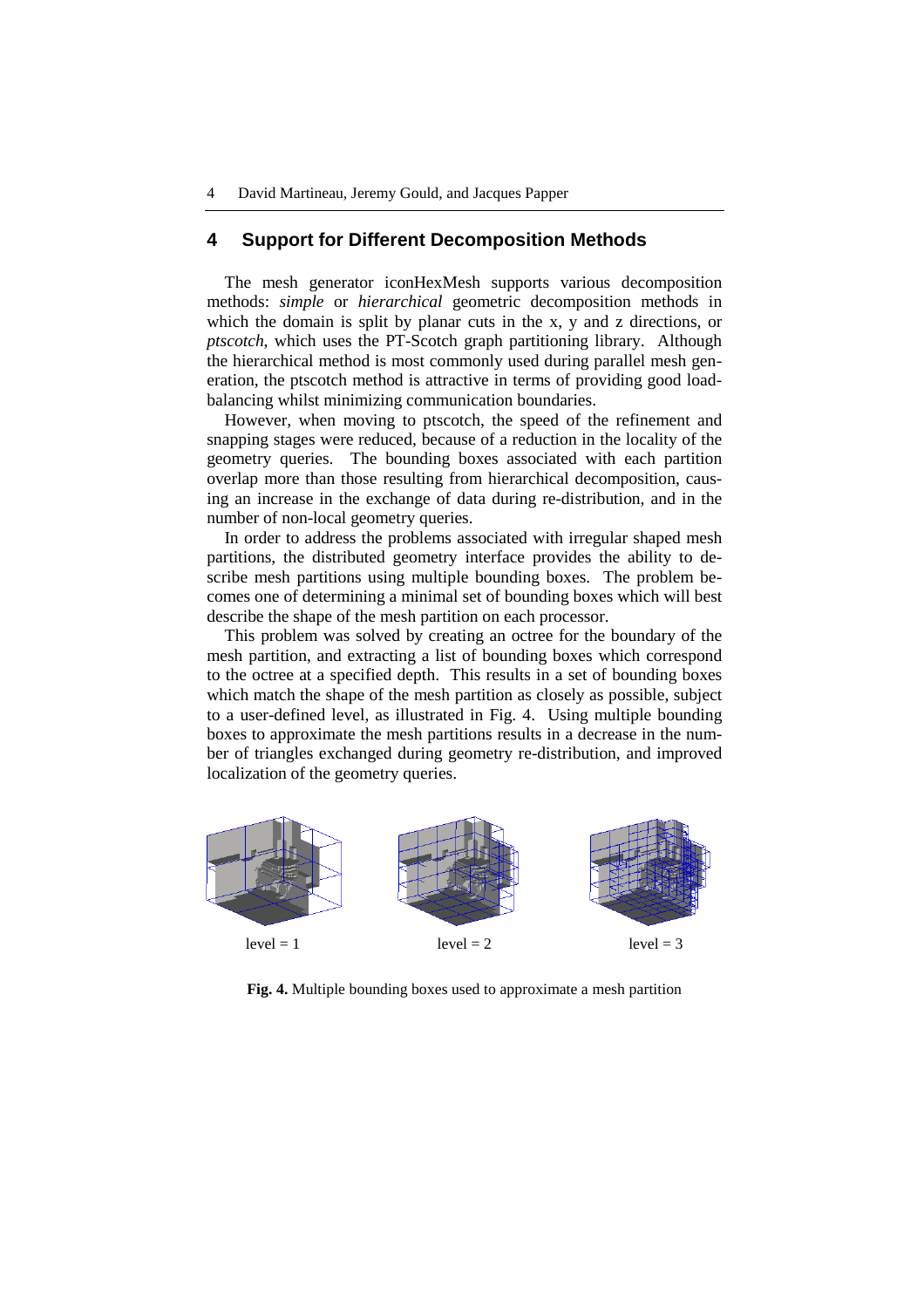#### **4 Support for Different Decomposition Methods**

The mesh generator iconHexMesh supports various decomposition methods: *simple* or *hierarchical* geometric decomposition methods in which the domain is split by planar cuts in the x, y and z directions, or *ptscotch*, which uses the PT-Scotch graph partitioning library. Although the hierarchical method is most commonly used during parallel mesh generation, the ptscotch method is attractive in terms of providing good loadbalancing whilst minimizing communication boundaries.

However, when moving to ptscotch, the speed of the refinement and snapping stages were reduced, because of a reduction in the locality of the geometry queries. The bounding boxes associated with each partition overlap more than those resulting from hierarchical decomposition, causing an increase in the exchange of data during re-distribution, and in the number of non-local geometry queries.

In order to address the problems associated with irregular shaped mesh partitions, the distributed geometry interface provides the ability to describe mesh partitions using multiple bounding boxes. The problem becomes one of determining a minimal set of bounding boxes which will best describe the shape of the mesh partition on each processor.

This problem was solved by creating an octree for the boundary of the mesh partition, and extracting a list of bounding boxes which correspond to the octree at a specified depth. This results in a set of bounding boxes which match the shape of the mesh partition as closely as possible, subject to a user-defined level, as illustrated in Fig. 4. Using multiple bounding boxes to approximate the mesh partitions results in a decrease in the number of triangles exchanged during geometry re-distribution, and improved localization of the geometry queries.



**Fig. 4.** Multiple bounding boxes used to approximate a mesh partition